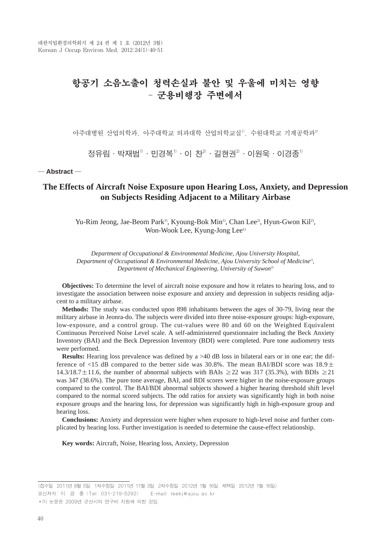# 항공기 소음노출이 청력손실과 불안 및 우울에 미치는 영향 - 군용비행장 주변에서

아주대병원 산업의학과, 아주대학교 의과대학 산업의학교실<sup>1)</sup>, 수원대학교 기계공학과<sup>2)</sup>

 $\Delta$ 정유림 • 박재범<sup>1)</sup> • 민경복<sup>1)</sup> • 이 차<sup>2)</sup> • 길현권<sup>2)</sup> • 이원욱 • 이경종<sup>1)</sup>

# ─ **Abstract** ─

# **The Effects of Aircraft Noise Exposure upon Hearing Loss, Anxiety, and Depression on Subjects Residing Adjacent to a Military Airbase**

Yu-Rim Jeong, Jae-Beom Park<sup>1)</sup>, Kyoung-Bok Min<sup>1)</sup>, Chan Lee<sup>2</sup>, Hyun-Gwon Kil<sup>2</sup>, Won-Wook Lee, Kyung-Jong Lee<sup>1)</sup>

*Department of Occupational & Environmental Medicine, Ajou University Hospital, Department of Occupational & Environmental Medicine, Ajou University School of Medicine<sup>1)</sup>, Department of Mechanical Engineering, University of Suwon2)*

**Objectives:** To determine the level of aircraft noise exposure and how it relates to hearing loss, and to investigate the association between noise exposure and anxiety and depression in subjects residing adjacent to a military airbase.

**Methods:** The study was conducted upon 898 inhabitants between the ages of 30-79, living near the military airbase in Jeonra-do. The subjects were divided into three noise-exposure groups: high-exposure, low-exposure, and a control group. The cut-values were 80 and 60 on the Weighted Equivalent Continuous Perceived Noise Level scale. A self-administered questionnaire including the Beck Anxiety Inventory (BAI) and the Beck Depression Inventory (BDI) were completed. Pure tone audiometry tests were performed.

**Results:** Hearing loss prevalence was defined by a  $>40$  dB loss in bilateral ears or in one ear; the difference of <15 dB compared to the better side was 30.8%. The mean BAI/BDI score was  $18.9 \pm$ 14.3/18.7 $\pm$ 11.6, the number of abnormal subjects with BAIs ≥22 was 317 (35.3%), with BDIs ≥21 was 347 (38.6%). The pure tone average, BAI, and BDI scores were higher in the noise-exposure groups compared to the control. The BAI/BDI abnormal subjects showed a higher hearing threshold shift level compared to the normal scored subjects. The odd ratios for anxiety was significantly high in both noise exposure groups and the hearing loss, for depression was significantly high in high-exposure group and hearing loss.

**Conclusions:** Anxiety and depression were higher when exposure to high-level noise and further complicated by hearing loss. Further investigation is needed to determine the cause-effect relationship.

**Key words:** Aircraft, Noise, Hearing loss, Anxiety, Depression

<sup>&</sup>lt;접수일: 2011년 8월 5일, 1차수정일: 2011년 11월 3일, 2차수정일: 2012년 1월 16일, 채택일: 2012년 1월 16일>

교신저자: 이 경 종 (Tel: 031-219-5292) E-mail: leekj@ajou.ac.kr

<sup>�</sup>이 논문은 2009년 군산시의 연구비 지원에 의한 것임.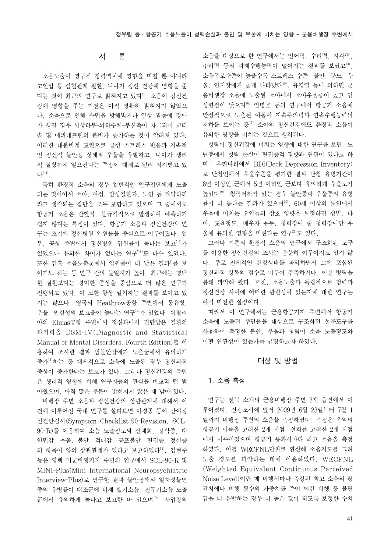# 서 론

소음노출이 영구적 청력역치에 영향을 미칠 뿐 아니라 고혈압 등 심혈관계 질환, 나아가 정신 건강에 영향을 준 다는 것이 최근의 연구로 밝혀지고 있다1). 소음이 정신건 강에 영향을 주는 기전은 아직 명확히 밝혀지지 않았으 나, 소음으로 인해 수면을 방해받거나 일상 활동에 장애 가 생길 경우 시상하부-뇌하수체-부신축이 자극되어 코티 솔 및 에피네프린의 분비가 증가하는 것이 알려져 있다. 이러한 내분비계 교란으로 급성 스트레스 반응과 지속적 인 정신적 불안정 상태와 우울을 유발하고, 나아가 생리 적 질병까지 일으킨다는 주장이 대체로 널리 지지받고 있  $L^{2-4}$ 

특히 환경적 소음의 경우 일반적인 인구집단에게 노출 되는 것이어서 소아, 여성, 만성질환자, 노인 등 취약하리 라고 생각되는 집단을 모두 포함하고 있으며 그 중에서도 항공기 소음은 간헐적, 불규칙적으로 발생하여 예측하기 쉽지 않다는 특징이 있다. 항공기 소음과 정신건강의 연 구는 초기에 정신병원 입원률을 중심으로 이루어졌다. 일 부, 공항 주변에서 정신병원 입원률이 높다는 보고5,6)가 있었으나 유의한 차이가 없다는 연구7,8)도 다수 있었다. 또한 간혹 소음노출군에서 입원률이 더 낮은 결과<sup>9</sup>를 보 이기도 하는 등 연구 간의 불일치가 높아, 최근에는 명백 한 질환보다는 경미한 증상을 중심으로 더 많은 연구가 진행되고 있다. 이 또한 항상 일치하는 결과를 보이고 있 지는 않으나, 영국의 Heathrow공항 주변에서 몽유병, 우울, 민감성의 보고율이 높다는 연구10)가 있었다. 이탈리 아의 Elmas공항 주변에서 정신과에서 진단받은 질환의 과거력을 DSM-IV(Diagnostic and Statistical Manual of Mental Disorders, Fourth Edition)를 이 용하여 조사한 결과 범불안장애가 노출군에서 유의하게 증가11)하는 등 대체적으로 소음에 노출된 경우 정신과적 증상이 증가한다는 보고가 있다. 그러나 정신건강의 측면 은 생리적 영향에 비해 연구자들의 관심을 비교적 덜 받 아왔으며, 아직 많은 부분이 밝혀지지 않은 채 남아 있다.

비행장 주변 소음과 정신건강의 상관관계에 대해서 이 전에 이루어진 국내 연구를 살펴보면 이경종 등이 간이정 신진단검사(Symptom Checklist-90-Revision, SCL-90-R)를 이용하여 소음 노출정도와 신체화, 강박증, 대 인민감, 우울, 불안, 적대감, 공포불안, 편집증, 정신증 의 항목이 양의 상관관계가 있다고 보고하였다<sup>12</sup>. 김현주 등은 평택 미군비행기지 주변의 연구에서 SCL-90-R 및 MINI-Plus(Mini International Neuropsychiatric Interview-Plus)로 연구한 결과 불안장애와 일차성불면 증의 유병률이 대조군에 비해 헬기소음, 전투기소음 노출 군에서 유의하게 높다고 보고한 바 있으며13), 사업장의 소음을 대상으로 한 연구에서는 언어력, 수리력, 지각력, 추리력 등의 과제수행능력이 떨어지는 결과를 보였고<sup>14)</sup>, 소음폭로수준이 높을수록 스트레스 수준, 불안, 분노, 우 울, 인지장애가 높게 나타났다15). 유경열 등에 의하면 군 용비행장 소음에 노출된 소아에서 소아우울증이 높고 인 성평점이 낮으며16) 임명호 등의 연구에서 항공기 소음에 만성적으로 노출된 아동이 지속주의력과 연속수행능력의 저하를 보이는 등17) 소아의 정신건강에도 환경적 소음이 유의한 영향을 미치는 것으로 생각된다.

청력이 정신건강에 미치는 영향에 대한 연구를 보면, 노 년층에서 청력 손실이 편집증적 경향과 연관이 있다고 하 며18) 우리나라에서 BDI(Beck Depression Inventory) 로 난청인에서 우울수준을 평가한 결과 난청 유병기간이 6년 이상인 군에서 5년 이하인 군보다 유의하게 우울도가 높았다<sup>19)</sup>. 청력저하가 있는 경우 불안증과 우울증의 유병 률이 더 높다는 결과가 있으며20), 60세 이상의 노인에서 우울에 미치는 요인들의 상호 영향을 보정하면 성별, 나 이, 교육정도, 배우자 유무, 청력장애 중 청력장애만 우 울에 유의한 영향을 미친다는 연구21)도 있다.

그러나 기존의 환경적 소음의 연구에서 구조화된 도구 를 이용한 정신건강의 조사는 충분히 이루어지고 있지 않 다. 주로 전체적인 건강상태를 파악하면서 그에 포함된 정신과적 항목의 점수로 미루어 추측하거나, 이전 병력을 통해 파악해 왔다. 또한, 소음노출과 독립적으로 청력과 정신건강 사이에 어떠한 관련성이 있는지에 대한 연구는 아직 미진한 실정이다.

따라서 이 연구에서는 군용항공기지 주변에서 항공기 소음에 노출된 주민들을 대상으로 구조화된 설문도구를 사용하여 측정한 불안, 우울과 청력이 소음 노출정도와 어떤 연관성이 있는가를 규명하고자 하였다.

# 대상 및 방법

#### 1. 소음 측정

연구는 전북 소재의 군용비행장 주변 3개 읍면에서 이 루어졌다. 건강조사에 앞서 2009년 6월 23일부터 7월 1 일까지 비행장 주변의 소음을 측정하였다. 측정은 옥외의 항공기 이륙을 고려한 2개 지점, 선회를 고려한 2개 지점 에서 이루어졌으며 항공기 통과시마다 최고 소음을 측정 하였다. 이를 WECPNL단위로 환산해 소음지도를 그려 노출 정도를 파악하는 데에 이용하였다. WECPNL (Weighted Equivalent Continuous Perceived Noise Level)이란 매 비행시마다 측정된 최고 소음의 평 균치에다 비행 횟수의 가중치를 주어 야간 비행 등 불편 감을 더 유발하는 경우 더 높은 값이 되도록 보정한 수치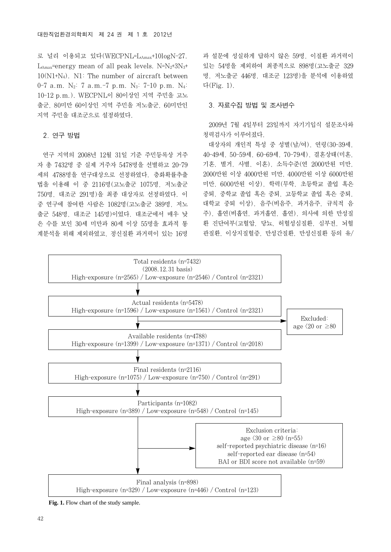로 널리 이용되고 있다(WECPNL=LAmax+10logN-27. L<sub>Amax</sub>=energy mean of all peak levels. N= $N_2+3N_3+$ 10(N1+N4). N1: The number of aircraft between 0-7 a.m.  $N_2$ : 7 a.m. -7 p.m.  $N_3$ : 7-10 p.m.  $N_4$ : 10-12 p.m.). WECPNL이 80이상인 지역 주민을 고노 출군, 80미만 60이상인 지역 주민을 저노출군, 60미만인 지역 주민을 대조군으로 설정하였다.

#### 2. 연구 방법

연구 지역의 2008년 12월 31일 기준 주민등록상 거주 자 총 7432명 중 실제 거주자 5478명을 선별하고 20-79 세의 4788명을 연구대상으로 선정하였다. 층화확률추출 법을 이용해 이 중 2116명(고노출군 1075명, 저노출군 750명, 대조군 291명)을 최종 대상자로 선정하였다. 이 중 연구에 참여한 사람은 1082명(고노출군 389명, 저노 출군 548명, 대조군 145명)이었다. 대조군에서 매우 낮 은 수를 보인 30세 미만과 80세 이상 55명을 효과적 통 계분석을 위해 제외하였고, 정신질환 과거력이 있는 16명 과 설문에 성실하게 답하지 않은 59명, 이질환 과거력이 있는 54명을 제외하여 최종적으로 898명(고노출군 329 명, 저노출군 446명, 대조군 123명)을 분석에 이용하였 다(Fig. 1).

# 3. 자료수집 방법 및 조사변수

2009년 7월 4일부터 23일까지 자기기입식 설문조사와 청력검사가 이루어졌다.

대상자의 개인적 특성 중 성별(남/여), 연령(30-39세, 40-49세, 50-59세, 60-69세, 70-79세), 결혼상태(미혼, 기혼, 별거, 사별, 이혼), 소득수준(연 2000만원 미만, 2000만원 이상 4000만원 미만, 4000만원 이상 6000만원 미만, 6000만원 이상), 학력(무학, 초등학교 졸업 혹은 중퇴, 중학교 졸업 혹은 중퇴, 고등학교 졸업 혹은 중퇴, 대학교 중퇴 이상), 음주(비음주, 과거음주, 규칙적 음 주), 흡연(비흡연, 과거흡연, 흡연), 의사에 의한 만성질 환 진단여부(고혈압, 당뇨, 허혈성심질환, 심부전, 뇌혈 관질환, 이상지질혈증, 만성간질환, 만성신질환 등의 유/



Fig. 1. Flow chart of the study sample.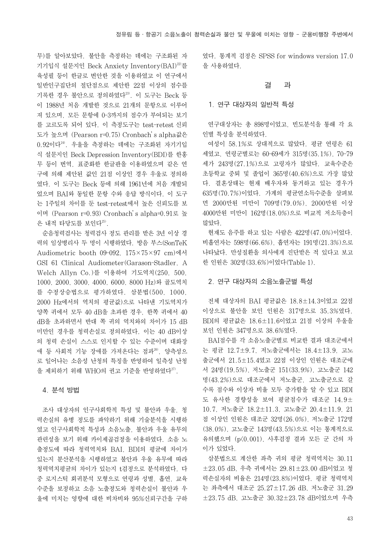무)를 알아보았다. 불안을 측정하는 데에는 구조화된 자 기기입식 설문지인 Beck Anxiety Inventory(BAI)<sup>22)</sup>를 육성필 등이 한글로 번안한 것을 이용하였고 이 연구에서 일반인구집단의 절단점으로 제안한 22점 이상의 점수를 기록한 경우 불안으로 정의하였다<sup>23)</sup>. 이 도구는 Beck 등 이 1988년 처음 개발한 것으로 21개의 문항으로 이루어 져 있으며, 모든 문항에 0-3까지의 점수가 부여되는 보기 를 고르도록 되어 있다. 이 측정도구는 test-retest 신뢰 도가 높으며 (Pearson r=0.75) Cronbach's alpha값은 0.92이다24). 우울을 측정하는 데에는 구조화된 자기기입 식 설문지인 Beck Depression Inventory(BDI)를 한홍 무 등이 번역, 표준화한 한글판을 이용하였으며 같은 연 구에 의해 제안된 값인 21점 이상인 경우 우울로 정의하 였다. 이 도구는 Beck 등에 의해 1961년에 처음 개발되 었으며 BAI와 동일한 문항 수와 응답 방식이다. 이 도구 는 1주일의 차이를 둔 test-retest에서 높은 신뢰도를 보 이며 (Pearson r=0.93) Cronbach's alpha=0.91로 높 은 내적 타당도를 보인다<sup>25)</sup>.

순음청력검사는 청력검사 정도 관리를 받은 3년 이상 경 력의 임상병리사 두 명이 시행하였다. 방음 부스(SonTeK Audiometric booth 09-092, 175×75×97 cm)에서 GSI 61 Clinical Audiometer(Garason-Stadler, A Welch Allyn Co.)를 이용하여 기도역치(250, 500, 1000, 2000, 3000, 4000, 6000, 8000 Hz)와 골도역치 를 수정상승법으로 평가하였다. 삼분법(500, 1000, 2000 Hz에서의 역치의 평균값)으로 나타낸 기도역치가 양쪽 귀에서 모두 40 dB을 초과한 경우, 한쪽 귀에서 40 dB을 초과하면서 반대 쪽 귀의 역치와의 차이가 15 dB 미만인 경우를 청력손실로 정의하였다. 이는 40 dB이상 의 청력 손실이 스스로 인지할 수 있는 수준이며 대화장 애 등 사회적 기능 장애를 가져온다는 점과<sup>26</sup>, 양측성으 로 일어나는 소음성 난청의 특징을 반영하여 일측성 난청 을 제외하기 위해 WHO의 권고 기준을 반영하였다<sup>27)</sup>.

# 4. 분석 방법

조사 대상자의 인구사회학적 특성 및 불안과 우울, 청 력손실의 유병 정도를 파악하기 위해 기술분석을 시행하 였고 인구사회학적 특성과 소음노출, 불안과 우울 유무의 관련성을 보기 위해 카이제곱검정을 이용하였다. 소음 노 출정도에 따라 청력역치와 BAI, BDI의 평균에 차이가 있는지 분산분석을 시행하였고 불안과 우울 유무에 따라 청력역치평균의 차이가 있는지 t검정으로 분석하였다. 다 중 로지스틱 회귀분석 모형으로 연령과 성별, 흡연, 교육 수준을 보정하고 소음 노출정도와 청력손실이 불안과 우 울에 미치는 영향에 대한 비차비와 95%신뢰구간을 구하 였다. 통계적 검정은 SPSS for windows version 17.0 을 사용하였다.

#### 결 과

#### 1. 연구 대상자의 일반적 특성

연구대상자는 총 898명이었고, 빈도분석을 통해 각 요 인별 특성을 분석하였다.

여성이 58.1%로 상대적으로 많았다. 평균 연령은 61 세였고, 연령군별로는 60-69세가 315명(35.1%), 70-79 세가 243명(27.1%)으로 고령자가 많았다. 교육수준은 초등학교 중퇴 및 졸업이 365명(40.6%)으로 가장 많았 다. 결혼상태는 현재 배우자와 동거하고 있는 경우가 635명(70.7%)이었다. 가계의 평균연소득수준을 살펴보 면 2000만원 미만이 709명(79.0%), 2000만원 이상 4000만원 미만이 162명(18.0%)으로 비교적 저소득층이 많았다.

현재도 음주를 하고 있는 사람은 422명(47.0%)이었다. 비흡연자는 598명(66.6%), 흡연자는 191명(21.3%)으로 나타났다. 만성질환을 의사에게 진단받은 적 있다고 보고 한 인원은 302명(33.6%)이었다(Table 1).

#### 2. 연구 대상자의 소음노출군별 특성

전체 대상자의 BAI 평균값은 18.8±14.3이었고 22점 이상으로 불안을 보인 인원은 317명으로 35.3%였다. BDI의 평균값은 18.6±11.6이었고 21점 이상의 우울을 보인 인원은 347명으로 38.6%였다.

BAI점수를 각 소음노출군별로 비교한 결과 대조군에서 는 평균 12.7±9.7, 저노출군에서는 18.4±13.9, 고노 출군에서 21.5±15.4였고 22점 이상인 인원은 대조군에 서 24명(19.5%), 저노출군 151(33.9%), 고노출군 142 명(43.2%)으로 대조군에서 저노출군, 고노출군으로 갈 수록 점수와 이상자 비율 모두 증가함을 알 수 있고 BDI 도 유사한 경향성을 보여 평균점수가 대조군 14.9± 10.7, 저노출군 18.2±11.3, 고노출군 20.4±11.9, 21 점 이상인 인원은 대조군 32명(26.0%), 저노출군 172명 (38.0%), 고노출군 143명(43.5%)으로 이는 통계적으로 유의했으며 (p<0.001), 사후검정 결과 모든 군 간의 차 이가 있었다.

삼분법으로 계산한 좌측 귀의 평균 청력역치는 30.11 ±23.05 dB, 우측 귀에서는 29.81±23.00 dB이었고 청 력손실자의 비율은 214명(23.8%)이었다. 평균 청력역치 는 좌측에서 대조군 25.27±17.26 dB, 저노출군 31.29 ±23.75 dB, 고노출군 30.32±23.78 dB이었으며 우측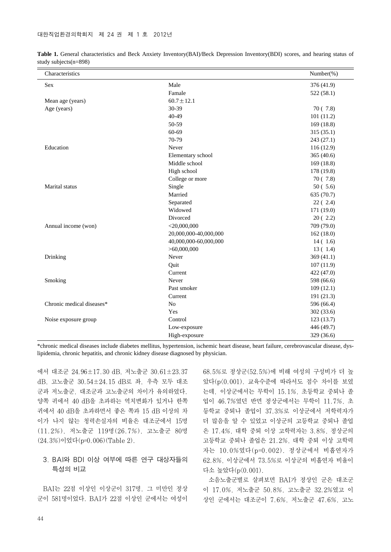| Characteristics           |                       | Number(%)  |
|---------------------------|-----------------------|------------|
| Sex                       | Male                  | 376 (41.9) |
|                           | Famale                | 522(58.1)  |
| Mean age (years)          | $60.7 \pm 12.1$       |            |
| Age (years)               | 30-39                 | 70(7.8)    |
|                           | 40-49                 | 101(11.2)  |
|                           | 50-59                 | 169(18.8)  |
|                           | 60-69                 | 315(35.1)  |
|                           | 70-79                 | 243 (27.1) |
| Education                 | Never                 | 116 (12.9) |
|                           | Elementary school     | 365(40.6)  |
|                           | Middle school         | 169(18.8)  |
|                           | High school           | 178 (19.8) |
|                           | College or more       | 70(7.8)    |
| Marital status            | Single                | 50(5.6)    |
|                           | Married               | 635 (70.7) |
|                           | Separated             | 22(2.4)    |
|                           | Widowed               | 171 (19.0) |
|                           | Divorced              | 20(2.2)    |
| Annual income (won)       | $<$ 20,000,000        | 709 (79.0) |
|                           | 20,000,000-40,000,000 | 162(18.0)  |
|                           | 40,000,000-60,000,000 | 14(1.6)    |
|                           | > 60,000,000          | 13(1.4)    |
| Drinking                  | Never                 | 369(41.1)  |
|                           | Quit                  | 107(11.9)  |
|                           | Current               | 422 (47.0) |
| Smoking                   | Never                 | 598 (66.6) |
|                           | Past smoker           | 109(12.1)  |
|                           | Current               | 191 (21.3) |
| Chronic medical diseases* | N <sub>o</sub>        | 596 (66.4) |
|                           | Yes                   | 302(33.6)  |
| Noise exposure group      | Control               | 123(13.7)  |
|                           | Low-exposure          | 446 (49.7) |
|                           | High-exposure         | 329 (36.6) |

Table 1. General characteristics and Beck Anxiety Inventory(BAI)/Beck Depression Inventory(BDI) scores, and hearing status of study subjects(n=898)

\*chronic medical diseases include diabetes mellitus, hypertension, ischemic heart disease, heart failure, cerebrovascular disease, dyslipidemia, chronic hepatitis, and chronic kidney disease diagnosed by physician.

에서 대조군 24.96±17.30 dB, 저노출군 30.61±23.37 dB, 고노출군 30.54±24.15 dB로 좌, 우측 모두 대조 군과 저노출군, 대조군과 고노출군의 차이가 유의하였다. 양쪽 귀에서 40 dB을 초과하는 역치변화가 있거나 한쪽 귀에서 40 dB을 초과하면서 좋은 쪽과 15 dB 이상의 차 이가 나지 않는 청력손실자의 비율은 대조군에서 15명 (11.2%), 저노출군 119명(26.7%), 고노출군 80명 (24.3%)이었다(p=0.006)(Table 2).

# 3. BAI와 BDI 이상 여부에 따른 연구 대상자들의 특성의 비교

BAI는 22점 이상인 이상군이 317명, 그 미만인 정상 군이 581명이었다. BAI가 22점 이상인 군에서는 여성이 68.5%로 정상군(52.5%)에 비해 여성의 구성비가 더 높 았다(p<0.001). 교육수준에 따라서도 점수 차이를 보였 는데, 이상군에서는 무학이 15.1%, 초등학교 중퇴나 졸 업이 46.7%였던 반면 정상군에서는 무학이 11.7%, 초 등학교 중퇴나 졸업이 37.3%로 이상군에서 저학력자가 더 많음을 알 수 있었고 이상군의 고등학교 중퇴나 졸업 은 17.4%, 대학 중퇴 이상 고학력자는 3.8%, 정상군의 고등학교 중퇴나 졸업은 21.2%, 대학 중퇴 이상 고학력 자는 10.0%였다(p=0.002). 정상군에서 비흡연자가 62.8%, 이상군에서 73.5%로 이상군의 비흡연자 비율이 다소 높았다(p<0.001).

소음노출군별로 살펴보면 BAI가 정상인 군은 대조군 이 17.0%, 저노출군 50.8%, 고노출군 32.2%였고 이 상인 군에서는 대조군이 7.6%, 저노출군 47.6%, 고노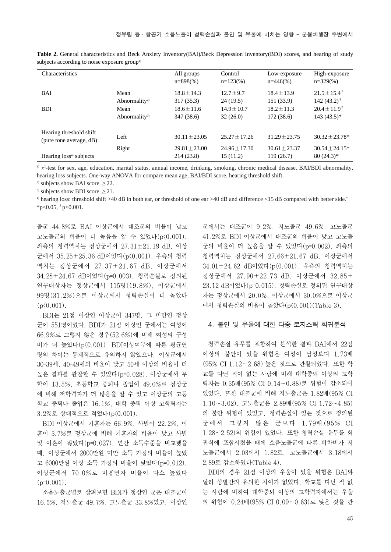| Characteristics                                    |                                   | All groups<br>$n=898(%)$      | Control<br>$n=123\%$        | Low-exposure<br>$n=446(%$    | High-exposure<br>$n=329\%$                    |
|----------------------------------------------------|-----------------------------------|-------------------------------|-----------------------------|------------------------------|-----------------------------------------------|
| BAI                                                | Mean<br>Abnormality <sup>2)</sup> | $18.8 + 14.3$<br>317(35.3)    | $12.7 + 9.7$<br>24(19.5)    | $18.4 + 13.9$<br>151 (33.9)  | $21.5 + 15.4$ <sup>t</sup><br>$142(43.2)^{+}$ |
| <b>BDI</b>                                         | Mean<br>Abnormality <sup>3)</sup> | $18.6 + 11.6$<br>347 (38.6)   | $14.9 + 10.7$<br>32(26.0)   | $18.2 + 11.3$<br>172(38.6)   | $20.4 + 11.9$ <sup>t</sup><br>$143(43.5)^*$   |
| Hearing threshold shift<br>(pure tone average, dB) | Left                              | $30.11 + 23.05$               | $25.27 + 17.26$             | $31.29 + 23.75$              | $30.32 + 23.78*$                              |
| Hearing loss <sup>4)</sup> subjects                | Right                             | $29.81 + 23.00$<br>214 (23.8) | $24.96 + 17.30$<br>15(11.2) | $30.61 + 23.37$<br>119(26.7) | $30.54 + 24.15*$<br>$80(24.3)$ *              |

**Table 2.** General characteristics and Beck Anxiety Inventory(BAI)/Beck Depression Inventory(BDI) scores, and hearing of study subjects according to noise exposure group<sup>1)</sup>

 $\frac{1}{2}$   $\chi^2$ -test for sex, age, education, marital status, annual income, drinking, smoking, chronic medical disease, BAI/BDI abnormality, hearing loss subjects. One-way ANOVA for compare mean age, BAI/BDI score, hearing threshold shift.

<sup>2)</sup> subjects show BAI score  $\geq$  22.

<sup>3)</sup> subjects show BDI score  $\geq$  21.

4) hearing loss: threshold shift >40 dB in both ear, or threshold of one ear >40 dB and difference <15 dB compared with better side." \*p< $0.05$ ,  $p<0.001$ .

출군 44.8%로 BAI 이상군에서 대조군의 비율이 낮고 고노출군의 비율이 더 높음을 알 수 있었다(p<0.001). 좌측의 청력역치는 정상군에서 27.31±21.19 dB, 이상 군에서 35.25±25.36 dB이었다(p<0.001). 우측의 청력 역치는 정상군에서 27.37±21.67 dB, 이상군에서 34.28±24.67 dB이었다(p=0.003). 청력손실로 정의된 연구대상자는 정상군에서 115명(19.8%), 이상군에서 99명(31.2%)으로 이상군에서 청력손실이 더 높았다  $(p(0.001)$ .

BDI는 21점 이상인 이상군이 347명, 그 미만인 정상 군이 551명이었다. BDI가 21점 이상인 군에서는 여성이 66.9%로 그렇지 않은 경우(52.6%)에 비해 여성의 구성 비가 더 높았다(p<0.001). BDI이상여부에 따른 평균연 령의 차이는 통계적으로 유의하지 않았으나, 이상군에서 30-39세, 40-49세의 비율이 낮고 50세 이상의 비율이 더 높은 결과를 관찰할 수 있었다(p=0.028). 이상군에서 무 학이 13.5%, 초등학교 중퇴나 졸업이 49.0%로 정상군 에 비해 저학력자가 더 많음을 알 수 있고 이상군의 고등 학교 중퇴나 졸업은 16.1%, 대학 중퇴 이상 고학력자는 3.2%로 상대적으로 적었다(p<0.001).

BDI 이상군에서 기혼자는 66.9%, 사별이 22.2%, 이 혼이 3.7%로 정상군에 비해 기혼자의 비율이 낮고 사별 및 이혼이 많았다(p=0.027). 연간 소득수준을 비교했을 때, 이상군에서 2000만원 미만 소득 가정의 비율이 높았 고 6000만원 이상 소득 가정의 비율이 낮았다(p=0.012). 이상군에서 70.0%로 비흡연자 비율이 다소 높았다  $(p=0.001)$ .

소음노출군별로 살펴보면 BDI가 정상인 군은 대조군이 16.5%, 저노출군 49.7%, 고노출군 33.8%였고, 이상인

군에서는 대조군이 9.2%, 저노출군 49.6%, 고노출군 41.2%로 BDI 이상군에서 대조군의 비율이 낮고 고노출 군의 비율이 더 높음을 알 수 있었다(p=0.002). 좌측의 청력역치는 정상군에서 27.66±21.67 dB, 이상군에서 34.01±24.62 dB이었다(p<0.001). 우측의 청력역치는 정상군에서 27.90±22.73 dB, 이상군에서 32.85± 23.12 dB이었다(p=0.015). 청력손실로 정의된 연구대상 자는 정상군에서 20.0%, 이상군에서 30.0%으로 이상군 에서 청력손실의 비율이 높았다(p<0.001)(Table 3).

# 4. 불안 및 우울에 대한 다중 로지스틱 회귀분석

청력손실 유무를 포함하여 분석한 결과 BAI에서 22점 이상의 불안이 있을 위험은 여성이 남성보다 1.73배 (95% CI 1.12~2.68) 높은 것으로 관찰되었다. 또한 학 교를 다닌 적이 없는 사람에 비해 대학중퇴 이상의 고학 력자는 0.35배(95% CI 0.14~0.88)로 위험이 감소되어 있었다. 또한 대조군에 비해 저노출군은 1.82배(95% CI 1.10~3.02), 고노출군은 2.89배(95% CI 1.72~4.85) 의 불안 위험이 있었고, 청력손실이 있는 것으로 정의된 군에서 그렇지 않은 군보다 1.79배 (95% CI 1.28~2.52)의 위험이 있었다. 또한 청력손실 유무를 회 귀식에 포함시켰을 때에 소음노출군에 따른 비차비가 저 노출군에서 2.03에서 1.82로, 고노출군에서 3.18에서 2.89로 감소하였다(Table 4).

BDI의 경우 21점 이상의 우울이 있을 위험은 BAI와 달리 성별간의 유의한 차이가 없었다. 학교를 다닌 적 없 는 사람에 비하여 대학중퇴 이상의 고학력자에서는 우울 의 위험이 0.24배(95% CI 0.09~0.63)로 낮은 것을 관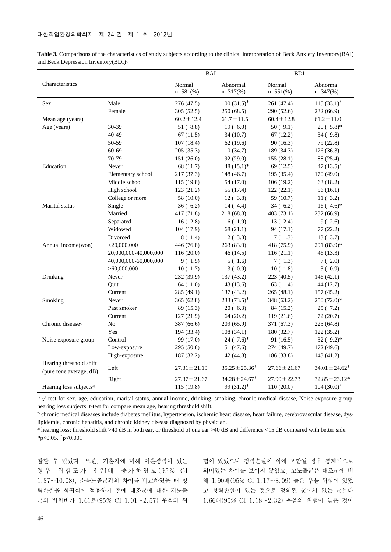| Table 3. Comparisons of the characteristics of study subjects according to the clinical interpretation of Beck Anxiety Inventory (BAI) |  |
|----------------------------------------------------------------------------------------------------------------------------------------|--|
| and Beck Depression Inventory (BDI) <sup>1)</sup>                                                                                      |  |

|                                                    |                       | <b>BAI</b>            |                                | <b>BDI</b>            |                             |
|----------------------------------------------------|-----------------------|-----------------------|--------------------------------|-----------------------|-----------------------------|
| Characteristics                                    |                       | Normal<br>$n=581$ (%) | Abnormal<br>$n=317(\%)$        | Normal<br>$n=551(\%)$ | Abnorma<br>$n=347$ (%)      |
| Sex                                                | Male                  | 276 (47.5)            | $100(31.5)^{t}$                | 261 (47.4)            | $115(33.1)$ <sup>†</sup>    |
|                                                    | Female                | 305(52.5)             | 250(68.5)                      | 290 (52.6)            | 232 (66.9)                  |
| Mean age (years)                                   |                       | $60.2 \pm 12.4$       | $61.7 \pm 11.5$                | $60.4 \pm 12.8$       | $61.2 \pm 11.0$             |
| Age (years)                                        | 30-39                 | 51(8.8)               | 19(6.0)                        | 50(9.1)               | $20(.5.8)$ *                |
|                                                    | 40-49                 | 67(11.5)              | 34(10.7)                       | 67(12.2)              | 34(9.8)                     |
|                                                    | 50-59                 | 107(18.4)             | 62(19.6)                       | 90(16.3)              | 79 (22.8)                   |
|                                                    | 60-69                 | 205 (35.3)            | 110 (34.7)                     | 189 (34.3)            | 126(36.3)                   |
|                                                    | 70-79                 | 151 (26.0)            | 92 (29.0)                      | 155(28.1)             | 88 (25.4)                   |
| Education                                          | Never                 | 68 (11.7)             | 48 $(15.1)$ *                  | 69(12.5)              | 47 $(13.5)$ <sup>†</sup>    |
|                                                    | Elementary school     | 217 (37.3)            | 148 (46.7)                     | 195 (35.4)            | 170 (49.0)                  |
|                                                    | Middle school         | 115(19.8)             | 54 (17.0)                      | 106(19.2)             | 63(18.2)                    |
|                                                    | High school           | 123(21.2)             | 55 (17.4)                      | 122(22.1)             | 56(16.1)                    |
|                                                    | College or more       | 58 (10.0)             | 12(3.8)                        | 59 (10.7)             | 11(3.2)                     |
| Marital status                                     | Single                | 36(6.2)               | 14(4.4)                        | 34(6.2)               | $16(4.6)$ *                 |
|                                                    | Married               | 417 (71.8)            | 218 (68.8)                     | 403(73.1)             | 232(66.9)                   |
|                                                    | Separated             | 16(2.8)               | 6(1.9)                         | 13(2.4)               | 9(2.6)                      |
|                                                    | Widowed               | 104 (17.9)            | 68(21.1)                       | 94 (17.1)             | 77(22.2)                    |
|                                                    | Divorced              | 8 ( 1.4)              | 12(3.8)                        | 7(1.3)                | 13(3.7)                     |
| Annual income(won)                                 | $<$ 20,000,000        | 446 (76.8)            | 263 (83.0)                     | 418 (75.9)            | 291 (83.9)*                 |
|                                                    | 20,000,000-40,000,000 | 116(20.0)             | 46 (14.5)                      | 116(21.1)             | 46(13.3)                    |
|                                                    | 40,000,000-60,000,000 | 9(1.5)                | 5(1.6)                         | 7(1.3)                | 7(2.0)                      |
|                                                    | > 60,000,000          | 10(1.7)               | 3(0.9)                         | 10(1.8)               | 3(0.9)                      |
| Drinking                                           | Never                 | 232 (39.9)            | 137 (43.2)                     | 223 (40.5)            | 146(42.1)                   |
|                                                    | Ouit                  | 64 (11.0)             | 43 (13.6)                      | 63(11.4)              | 44 (12.7)                   |
|                                                    | Current               | 285 (49.1)            | 137 (43.2)                     | 265(48.1)             | 157 (45.2)                  |
| Smoking                                            | Never                 | 365 (62.8)            | $233(73.5)^{+}$                | 348 (63.2)            | $250(72.0)$ *               |
|                                                    | Past smoker           | 89 (15.3)             | 20(6.3)                        | 84 (15.2)             | 25(7.2)                     |
|                                                    | Current               | 127 (21.9)            | 64(20.2)                       | 119(21.6)             | 72 (20.7)                   |
| Chronic disease <sup>2)</sup>                      | N <sub>o</sub>        | 387 (66.6)            | 209 (65.9)                     | 371 (67.3)            | 225 (64.8)                  |
|                                                    | Yes                   | 194 (33.4)            | 108(34.1)                      | 180 (32.7)            | 122(35.2)                   |
| Noise exposure group                               | Control               | 99 (17.0)             | $24(7.6)^{t}$                  | 91 (16.5)             | $32(9.2)$ *                 |
|                                                    | Low-exposure          | 295 (50.8)            | 151 (47.6)                     | 274 (49.7)            | 172 (49.6)                  |
|                                                    | High-exposure         | 187 (32.2)            | 142 (44.8)                     | 186 (33.8)            | 143 (41.2)                  |
| Hearing threshold shift<br>(pure tone average, dB) | Left                  | $27.31 \pm 21.19$     | $35.25 \pm 25.36^{\dagger}$    | $27.66 \pm 21.67$     | $34.01 \pm 24.62^{\dagger}$ |
|                                                    | Right                 | $27.37 \pm 21.67$     | $34.28 \pm 24.67$ <sup>†</sup> | $27.90 \pm 22.73$     | $32.85 \pm 23.12*$          |
| Hearing loss subjects <sup>3)</sup>                |                       | 115 (19.8)            | 99 $(31.2)$ <sup>†</sup>       | 110(20.0)             | $104(30.0)^{\dagger}$       |

 $\frac{1}{1}$   $\chi^2$ -test for sex, age, education, marital status, annual income, drinking, smoking, chronic medical disease, Noise exposure group, hearing loss subjects. t-test for compare mean age, hearing threshold shift.

2) chronic medical diseases include diabetes mellitus, hypertension, ischemic heart disease, heart failure, cerebrovascular disease, dyslipidemia, chronic hepatitis, and chronic kidney disease diagnosed by physician.

3) hearing loss: threshold shift >40 dB in both ear, or threshold of one ear >40 dB and difference <15 dB compared with better side. \*p<0.05,  $+p<0.001$ 

찰할 수 있었다. 또한, 기혼자에 비해 이혼경력이 있는 경우 위험도가 3.71배 증가하였고 (95% CI 1.37~10.08), 소음노출군간의 차이를 비교하였을 때 청 력손실을 회귀식에 적용하기 전에 대조군에 대한 저노출 군의 비차비가 1.61로(95% CI 1.01~2.57) 우울의 위 험이 있었으나 청력손실이 식에 포함될 경우 통계적으로 의미있는 차이를 보이지 않았고, 고노출군은 대조군에 비 해 1.90배(95% CI 1.17~3.09) 높은 우울 위험이 있었 고 청력손실이 있는 것으로 정의된 군에서 없는 군보다 1.66배(95% CI 1.18~2.32) 우울의 위험이 높은 것이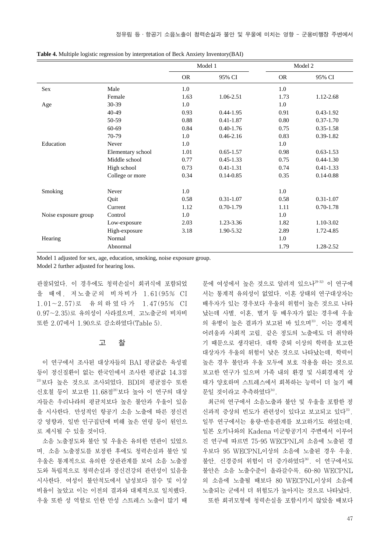|                      |                   | Model 1   |               |           | Model 2       |
|----------------------|-------------------|-----------|---------------|-----------|---------------|
|                      |                   | <b>OR</b> | 95% CI        | <b>OR</b> | 95% CI        |
| Sex                  | Male              | 1.0       |               | 1.0       |               |
|                      | Female            | 1.63      | 1.06-2.51     | 1.73      | 1.12-2.68     |
| Age                  | 30-39             | 1.0       |               | 1.0       |               |
|                      | 40-49             | 0.93      | $0.44 - 1.95$ | 0.91      | $0.43 - 1.92$ |
|                      | $50-59$           | 0.88      | $0.41 - 1.87$ | 0.80      | $0.37 - 1.70$ |
|                      | $60 - 69$         | 0.84      | $0.40 - 1.76$ | 0.75      | $0.35 - 1.58$ |
|                      | 70-79             | 1.0       | $0.46 - 2.16$ | 0.83      | $0.39 - 1.82$ |
| Education            | Never             | 1.0       |               | 1.0       |               |
|                      | Elementary school | 1.01      | $0.65 - 1.57$ | 0.98      | $0.63 - 1.53$ |
|                      | Middle school     | 0.77      | $0.45 - 1.33$ | 0.75      | $0.44 - 1.30$ |
|                      | High school       | 0.73      | $0.41 - 1.31$ | 0.74      | $0.41 - 1.33$ |
|                      | College or more   | 0.34      | $0.14 - 0.85$ | 0.35      | $0.14 - 0.88$ |
| Smoking              | Never             | 1.0       |               | 1.0       |               |
|                      | Quit              | 0.58      | $0.31 - 1.07$ | 0.58      | $0.31 - 1.07$ |
|                      | Current           | 1.12      | $0.70 - 1.79$ | 1.11      | $0.70 - 1.78$ |
| Noise exposure group | Control           | 1.0       |               | 1.0       |               |
|                      | Low-exposure      | 2.03      | 1.23-3.36     | 1.82      | 1.10-3.02     |
|                      | High-exposure     | 3.18      | 1.90-5.32     | 2.89      | 1.72-4.85     |
| Hearing              | Normal            |           |               | 1.0       |               |
|                      | Abnormal          |           |               | 1.79      | 1.28-2.52     |

**Table 4.** Multiple logistic regression by interpretation of Beck Anxiety Inventory(BAI)

Model 1 adjusted for sex, age, education, smoking, noise exposure group.

Model 2 further adjusted for hearing loss.

관찰되었다. 이 경우에도 청력손실이 회귀식에 포함되었 을 때에, 저노출군의 비차비가 1.61(95% CI 1.01~2.57)로 유의하였다가 1.47(95% CI 0.97~2.35)로 유의성이 사라졌으며, 고노출군의 비차비 또한 2.07에서 1.90으로 감소하였다(Table 5).

#### 고 찰

이 연구에서 조사된 대상자들의 BAI 평균값은 육성필 등이 정신질환이 없는 한국인에서 조사한 평균값 14.3점 23)보다 높은 것으로 조사되었다. BDI의 평균점수 또한 신호철 등이 보고한 11.68점<sup>28)</sup>보다 높아 이 연구의 대상 자들은 우리나라의 평균치보다 높은 불안과 우울이 있음 을 시사한다. 만성적인 항공기 소음 노출에 따른 정신건 강 영향과, 일반 인구집단에 비해 높은 연령 등이 원인으 로 제시될 수 있을 것이다.

소음 노출정도와 불안 및 우울은 유의한 연관이 있었으 며, 소음 노출정도를 보정한 후에도 청력손실과 불안 및 우울은 통계적으로 유의한 상관관계를 보여 소음 노출정 도와 독립적으로 청력손실과 정신건강의 관련성이 있음을 시사한다. 여성이 불안척도에서 남성보다 점수 및 이상 비율이 높았고 이는 이전의 결과와 대체적으로 일치했다. 우울 또한 성 역할로 인한 만성 스트레스 노출이 많기 때

문에 여성에서 높은 것으로 알려져 있으나<sup>29-32)</sup> 이 연구에 서는 통계적 유의성이 없었다. 이혼 상태의 연구대상자는 배우자가 있는 경우보다 우울의 위험이 높은 것으로 나타 났는데 사별, 이혼, 별거 등 배우자가 없는 경우에 우울 의 유병이 높은 결과가 보고된 바 있으며33), 이는 경제적 어려움과 사회적 고립, 같은 정도의 노출에도 더 취약하 기 때문으로 생각된다. 대학 중퇴 이상의 학력을 보고한 대상자가 우울의 위험이 낮은 것으로 나타났는데, 학력이 높은 경우 불안과 우울 모두에 보호 작용을 하는 것으로 보고한 연구가 있으며 가족 내의 환경 및 사회경제적 상 태가 양호하며 스트레스에서 회복하는 능력이 더 높기 때 문일 것이라고 추측하였다<sup>34)</sup>.

최근의 연구에서 소음노출과 불안 및 우울을 포함한 정 신과적 증상의 빈도가 관련성이 있다고 보고되고 있다35). 일부 연구에서는 용량-반응관계를 보고하기도 하였는데, 일본 오키나와의 Kadena 미군항공기지 주변에서 이루어 진 연구에 따르면 75-95 WECPNL의 소음에 노출된 경 우보다 95 WECPNL이상의 소음에 노출된 경우 우울, 불안, 신경증의 위험이 더 증가하였다36). 이 연구에서도 불안은 소음 노출수준이 올라갈수록, 60-80 WECPNL 의 소음에 노출될 때보다 80 WECPNL이상의 소음에 노출되는 군에서 더 위험도가 높아지는 것으로 나타났다. 또한 회귀모형에 청력손실을 포함시키지 않았을 때보다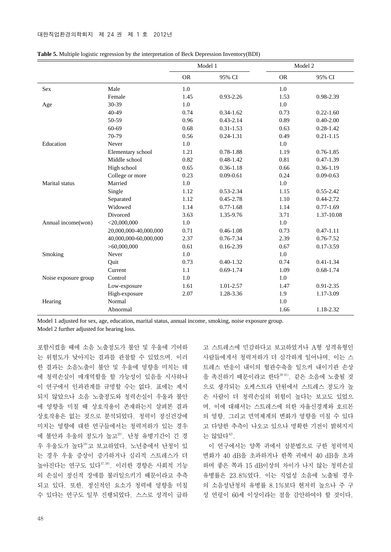|                      |                       | Model 1   |               |           | Model 2       |
|----------------------|-----------------------|-----------|---------------|-----------|---------------|
|                      |                       | <b>OR</b> | 95% CI        | <b>OR</b> | 95% CI        |
| <b>Sex</b>           | Male                  | 1.0       |               | 1.0       |               |
|                      | Female                | 1.45      | $0.93 - 2.26$ | 1.53      | 0.98-2.39     |
| Age                  | 30-39                 | 1.0       |               | 1.0       |               |
|                      | 40-49                 | 0.74      | $0.34 - 1.62$ | 0.73      | $0.22 - 1.60$ |
|                      | 50-59                 | 0.96      | $0.43 - 2.14$ | 0.89      | $0.40 - 2.00$ |
|                      | 60-69                 | 0.68      | $0.31 - 1.53$ | 0.63      | $0.28 - 1.42$ |
|                      | 70-79                 | 0.56      | $0.24 - 1.31$ | 0.49      | $0.21 - 1.15$ |
| Education            | Never                 | 1.0       |               | 1.0       |               |
|                      | Elementary school     | 1.21      | 0.78-1.88     | 1.19      | $0.76 - 1.85$ |
|                      | Middle school         | 0.82      | $0.48 - 1.42$ | 0.81      | $0.47 - 1.39$ |
|                      | High school           | 0.65      | $0.36 - 1.18$ | 0.66      | $0.36 - 1.19$ |
|                      | College or more       | 0.23      | $0.09 - 0.61$ | 0.24      | $0.09 - 0.63$ |
| Marital status       | Married               | 1.0       |               | 1.0       |               |
|                      | Single                | 1.12      | 0.53-2.34     | 1.15      | $0.55 - 2.42$ |
|                      | Separated             | 1.12      | $0.45 - 2.78$ | 1.10      | $0.44 - 2.72$ |
|                      | Widowed               | 1.14      | $0.77 - 1.68$ | 1.14      | $0.77 - 1.69$ |
|                      | Divorced              | 3.63      | 1.35-9.76     | 3.71      | 1.37-10.08    |
| Annual income(won)   | $<$ 20,000,000        | 1.0       |               | 1.0       |               |
|                      | 20,000,000-40,000,000 | 0.71      | $0.46 - 1.08$ | 0.73      | $0.47 - 1.11$ |
|                      | 40,000,000-60,000,000 | 2.37      | 0.76-7.34     | 2.39      | $0.76 - 7.52$ |
|                      | >60,000,000           | 0.61      | $0.16 - 2.39$ | 0.67      | $0.17 - 3.59$ |
| Smoking              | Never                 | 1.0       |               | 1.0       |               |
|                      | Quit                  | 0.73      | $0.40 - 1.32$ | 0.74      | $0.41 - 1.34$ |
|                      | Current               | 1.1       | $0.69 - 1.74$ | 1.09      | $0.68 - 1.74$ |
| Noise exposure group | Control               | 1.0       |               | 1.0       |               |
|                      | Low-exposure          | 1.61      | 1.01-2.57     | 1.47      | $0.91 - 2.35$ |
|                      | High-exposure         | 2.07      | 1.28-3.36     | 1.9       | 1.17-3.09     |
| Hearing              | Normal                |           |               | 1.0       |               |
|                      | Abnormal              |           |               | 1.66      | 1.18-2.32     |

|  |  |  | <b>Table 5.</b> Multiple logistic regression by the interpretation of Beck Depression Inventory(BDI) |
|--|--|--|------------------------------------------------------------------------------------------------------|
|  |  |  |                                                                                                      |

Model 1 adjusted for sex, age, education, marital status, annual income, smoking, noise exposure group. Model 2 further adjusted for hearing loss.

포함시켰을 때에 소음 노출정도가 불안 및 우울에 기여하 는 위험도가 낮아지는 결과를 관찰할 수 있었으며, 이러 한 결과는 소음노출이 불안 및 우울에 영향을 미치는 데 에 청력손실이 매개역할을 할 가능성이 있음을 시사하나 이 연구에서 인과관계를 규명할 수는 없다. 표에는 제시 되지 않았으나 소음 노출정도와 청력손실이 우울과 불안 에 영향을 미칠 때 상호작용이 존재하는지 살펴본 결과 상호작용은 없는 것으로 분석되었다. 청력이 정신건강에 미치는 영향에 대한 연구들에서는 청력저하가 있는 경우 에 불안과 우울의 정도가 높고20), 난청 유병기간이 긴 경 우 우울도가 높다19)고 보고하였다. 노년층에서 난청이 있 는 경우 우울 증상이 증가하거나 심리적 스트레스가 더 높아진다는 연구도 있다37,38). 이러한 경향은 사회적 기능 의 손실이 정신적 장애를 불러일으키기 때문이라고 추측 되고 있다. 또한, 정신적인 요소가 청력에 영향을 미칠 수 있다는 연구도 일부 진행되었다. 스스로 성격이 급하

고 스트레스에 민감하다고 보고하였거나 A형 성격유형인 사람들에게서 청력저하가 더 심각하게 일어나며, 이는 스 트레스 반응이 내이의 혈관수축을 일으켜 내이기관 손상 을 촉진하기 때문이라고 한다39-41). 같은 소음에 노출될 것 으로 생각되는 오케스트라 단원에서 스트레스 정도가 높 은 사람이 더 청력손실의 위험이 높다는 보고도 있었으 며, 이에 대해서는 스트레스에 의한 자율신경계와 호르몬 의 영향, 그리고 면역체계의 변화가 영향을 미칠 수 있다 고 다양한 추측이 나오고 있으나 명확한 기전이 밝혀지지 는 않았다<sup>42)</sup>.

이 연구에서는 양쪽 귀에서 삼분법으로 구한 청력역치 변화가 40 dB을 초과하거나 한쪽 귀에서 40 dB을 초과 하며 좋은 쪽과 15 dB이상의 차이가 나지 않는 청력손실 유병률은 23.8%였다. 이는 직업성 소음에 노출될 경우 의 소음성난청의 유병률 8.1%보다 현저히 높으나 주 구 성 연령이 60세 이상이라는 점을 감안하여야 할 것이다.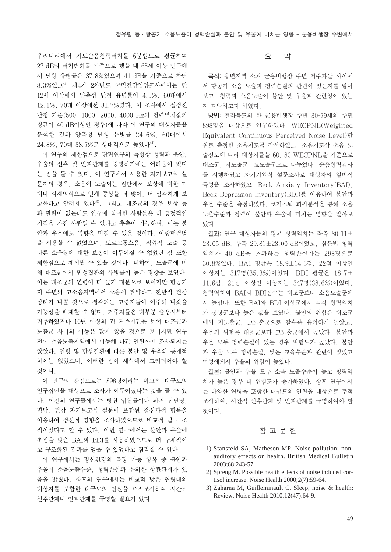우리나라에서 기도순음청력역치를 6분법으로 평균하여 27 dB의 역치변화를 기준으로 했을 때 65세 이상 인구에 서 난청 유병률은 37.8%였으며 41 dB을 기준으로 하면 8.3%였고43) 제4기 2차년도 국민건강영양조사에서는 만 12세 이상에서 양측성 난청 유병률이 4.5%, 60대에서 12.1%, 70대 이상에선 31.7%였다. 이 조사에서 설정한 난청 기준(500, 1000, 2000, 4000 Hz의 청력역치값의 평균이 40 dB이상인 경우)에 따라 이 연구의 대상자들을 분석한 결과 양측성 난청 유병률 24.6%, 60대에서 24.8%, 70대 38.7%로 상대적으로 높았다44).

이 연구의 제한점으로 단면연구의 특성상 청력과 불안, 우울의 선후 및 인과관계를 증명하기에는 어려움이 있다 는 점을 들 수 있다. 이 연구에서 사용한 자기보고식 설 문지의 경우, 소음에 노출되는 집단에서 보상에 대한 기 대나 피해의식으로 인해 증상을 더 많이, 더 심각하게 보 고한다고 알려져 있다45). 그리고 대조군의 경우 보상 등 과 관련이 없는데도 연구에 참여한 사람들은 더 긍정적인 기질을 가진 사람일 수 있다고 추측이 가능하며, 이는 불 안과 우울에도 영향을 미칠 수 있을 것이다. 이중맹검법 을 사용할 수 없었으며, 도로교통소음, 직업적 노출 등 다른 소음원에 대한 보정이 이루어질 수 없었던 점 또한 제한점으로 제시될 수 있을 것이다. 더하여, 노출군에 비 해 대조군에서 만성질환의 유병률이 높은 경향을 보였다. 이는 대조군의 연령이 더 높기 때문으로 보이지만 항공기 지 주변의 고소음지역에서 소음에 취약하고 전반적 건강 상태가 나쁠 것으로 생각되는 고령자들이 이주해 나갔을 가능성을 배제할 수 없다. 거주자들은 대부분 출생시부터 거주하였거나 10년 이상의 긴 거주기간을 보여 대조군과 노출군 사이의 이동은 많지 않을 것으로 보이지만 연구 전에 소음노출지역에서 이동해 나간 인원까지 조사되지는 않았다. 연령 및 만성질환에 따른 불안 및 우울의 통계적 차이는 없었으나, 이러한 점이 해석에서 고려되어야 할 것이다.

이 연구의 강점으로는 898명이라는 비교적 대규모의 인구집단을 대상으로 조사가 이루어졌다는 것을 들 수 있 다. 이전의 연구들에서는 병원 입원률이나 과거 진단명, 면담, 건강 자기보고식 설문에 포함된 정신과적 항목을 이용하여 정신적 영향을 조사하였으므로 비교적 덜 구조 적이었다고 할 수 있다. 이번 연구에서는 불안과 우울에 초점을 맞춘 BAI와 BDI를 사용하였으므로 더 구체적이 고 구조화된 결과를 얻을 수 있었다고 짐작할 수 있다.

이 연구에서는 정신건강의 측정 가능 항목 중 불안과 우울이 소음노출수준, 청력손실과 유의한 상관관계가 있 음을 밝혔다. 향후의 연구에서는 비교적 낮은 연령대의 대상자를 포함한 대규모의 인원을 추적조사하여 시간적 선후관계나 인과관계를 규명할 필요가 있다.

# 요 약

목적: 읍면지역 소재 군용비행장 주변 거주자들 사이에 서 항공기 소음 노출과 청력손실의 관련이 있는지를 알아 보고, 청력과 소음노출이 불안 및 우울과 관련성이 있는 지 파악하고자 하였다.

방법: 전라북도의 한 군용비행장 주변 30-79세의 주민 898명을 대상으로 연구하였다. WECPNL(Weighted Equivalent Continuous Perceived Noise Level)단 위로 측정한 소음지도를 작성하였고, 소음지도상 소음 노 출정도에 따라 대상자들을 60, 80 WECPNL을 기준으로 대조군, 저노출군, 고노출군으로 나누었다. 순음청력검사 를 시행하였고 자기기입식 설문조사로 대상자의 일반적 특성을 조사하였고, Beck Anxiety Inventory(BAI), Beck Depression Inventory(BDI)를 이용하여 불안과 우울 수준을 측정하였다. 로지스틱 회귀분석을 통해 소음 노출수준과 청력이 불안과 우울에 미치는 영향을 알아보 았다.

결과: 연구 대상자들의 평균 청력역치는 좌측 30.11± 23.05 dB, 우측 29.81±23.00 dB이었고, 삼분법 청력 역치가 40 dB을 초과하는 청력손실자는 293명으로 30.8%였다. BAI 평균은 18.9±14.3점, 22점 이상인 이상자는 317명(35.3%)이었다. BDI 평균은 18.7± 11.6점, 21점 이상인 이상자는 347명(38.6%)이었다. 청력역치와 BAI와 BDI점수는 대조군보다 소음노출군에 서 높았다. 또한 BAI와 BDI 이상군에서 각각 청력역치 가 정상군보다 높은 값을 보였다. 불안의 위험은 대조군 에서 저노출군, 고노출군으로 갈수록 유의하게 높았고, 우울의 위험은 대조군보다 고노출군에서 높았다. 불안과 우울 모두 청력손실이 있는 경우 위험도가 높았다. 불안 과 우울 모두 청력손실, 낮은 교육수준과 관련이 있었고 여성에게서 우울의 위험이 높았다.

결론: 불안과 우울 모두 소음 노출수준이 높고 청력역 치가 높은 경우 더 위험도가 증가하였다. 향후 연구에서 는 다양한 연령을 포함한 대규모의 인원을 대상으로 추적 조사하여, 시간적 선후관계 및 인과관계를 규명하여야 할 것이다.

# 참 고 문 헌

- 1) Stansfeld SA, Matheson MP. Noise pollution: nonauditory effects on health. British Medical Bulletin 2003;68:243-57.
- 2) Spreng M. Possible health effects of noise induced cortisol increase. Noise Health 2000;2(7):59-64.
- 3) Zaharna M, Guilleminault C. Sleep, noise & health: Review. Noise Health 2010;12(47):64-9.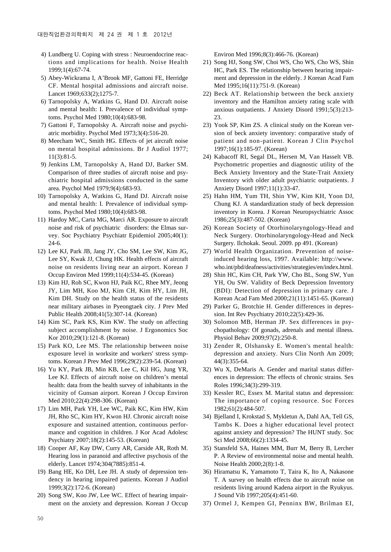- 4) Lundberg U. Coping with stress : Neuroendocrine reactions and implications for health. Noise Health 1999;1(4):67-74.
- 5) Abey-Wickrama I, A'Brook MF, Gattoni FE, Herridge CF. Mental hospital admissions and aircraft noise. Lancet 1969;633(2);1275-7.
- 6) Tarnopolsky A, Watkins G, Hand DJ. Aircraft noise and mental health: I. Prevalence of individual symptoms. Psychol Med 1980;10(4):683-98.
- 7) Gattoni F, Tarnopolsky A. Aircraft noise and psychiatric morbidity. Psychol Med 1973;3(4):516-20.
- 8) Meecham WC, Smith HG. Effects of jet aircraft noise on mental hospital admissions. Br J Audiol 1977; 11(3):81-5.
- 9) Jenkins LM, Tarnopolsky A, Hand DJ, Barker SM. Comparison of three studies of aircraft noise and psychiatric hospital admissions conducted in the same area. Psychol Med 1979;9(4):683-93.
- 10) Tarnopolsky A, Watkins G, Hand DJ. Aircraft noise and mental health: I. Prevalence of individual symptoms. Psychol Med 1980;10(4):683-98.
- 11) Hardoy MC, Carta MG, Marci AR. Exposure to aircraft noise and risk of psychiatric disorders: the Elmas survey. Soc Psychiatry Psychiatr Epidemiol 2005;40(1): 24-6.
- 12) Lee KJ, Park JB, Jang JY, Cho SM, Lee SW, Kim JG, Lee SY, Kwak JJ, Chung HK. Health effects of aircraft noise on residents living near an airport. Korean J Occup Environ Med 1999;11(4):534-45. (Korean)
- 13) Kim HJ, Roh SC, Kwon HJ, Paik KC, Rhee MY, Jeong JY, Lim MH, Koo MJ, Kim CH, Kim HY, Lim JH, Kim DH. Study on the health status of the residents near military airbases in Pyeongtaek city. J Prev Med Public Health 2008;41(5):307-14. (Korean)
- 14) Kim SC, Park KS, Kim KW. The study on affecting subject accomplishment by noise. J Ergonomics Soc Kor 2010;29(1):121-8. (Korean)
- 15) Park KO, Lee MS. The relationship between noise exposure level in worksite and workers' stress symptoms. Korean J Prev Med 1996;29(2):239-54. (Korean)
- 16) Yu KY, Park JB, Min KB, Lee C, Kil HG, Jung YR, Lee KJ. Effects of aircraft noise on children's mental health: data from the health survey of inhabitants in the vicinity of Gunsan airport. Korean J Occup Environ Med 2010;22(4):298-306. (Korean)
- 17) Lim MH, Park YH, Lee WC, Paik KC, Kim HW, Kim JH, Rho SC, Kim HY, Kwon HJ. Chronic aircraft noise exposure and sustained attention, continuous performance and cognition in children. J Kor Acad Adolesc Psychiatry 2007;18(2):145-53. (Korean)
- 18) Cooper AF, Kay DW, Curry AR, Carside AR, Roth M. Hearing loss in paranoid and affective psychosis of the elderly. Lancet 1974;304(7885):851-4.
- 19) Bang HE, Ko DH, Lee JH. A study of depression tendency in hearing impaired patients. Korean J Audiol 1999;3(2):172-6. (Korean)
- 20) Song SW, Koo JW, Lee WC. Effect of hearing impairment on the anxiety and depression. Korean J Occup

Environ Med 1996;8(3):466-76. (Korean)

- 21) Song HJ, Song SW, Choi WS, Cho WS, Cho WS, Shin HC, Park ES. The relationship between hearing impairment and depression in the elderly. J Korean Acad Fam Med 1995;16(11):751-9. (Korean)
- 22) Beck AT. Relationship between the beck anxiety inventory and the Hamilton anxiety rating scale with anxious outpatients. J Anxiety Disord 1991;5(3):213- 23.
- 23) Yook SP, Kim ZS. A clinical study on the Korean version of beck anxiety inventory: comparative study of patient and non-patient. Korean J Clin Psychol 1997;16(1):185-97. (Korean)
- 24) Kabacoff RI, Segal DL, Hersen M, Van Hasselt VB. Psychometric properties and diagnostic utility of the Beck Anxiety Inventory and the State-Trait Anxiety Inventory with older adult psychiatric outpatients. J Anxiety Disord 1997;11(1):33-47.
- 25) Hahn HM, Yum TH, Shin YW, Kim KH, Yoon DJ, Chung KJ. A standardization study of beck depression inventory in Korea. J Korean Neuropsychiatric Assoc 1986;25(3):487-502. (Korean)
- 26) Korean Society of Otorhinolaryngology-Head and Neck Surgery. Otorhinolaryngology-Head and Neck Surgery. Ilchokak. Seoul. 2009. pp 491. (Korean)
- 27) World Health Organization. Prevention of noiseinduced hearing loss, 1997. Available: http://www. who.int/pbd/deafness/activities/strategies/en/index.html.
- 28) Shin HC, Kim CH, Park YW, Cho BL, Song SW, Yun YH, Ou SW. Validity of Beck Depression Inventory (BDI): Detection of depression in primary care. J Korean Acad Fam Med 2000;21(11):1451-65. (Korean)
- 29) Parker G, Brotchie H. Gender differences in depression. Int Rev Psychiatry 2010;22(5):429-36.
- 30) Solomon MB, Herman JP. Sex differences in psychopathology: Of gonads, adrenals and mental illness. Physiol Behav 2009;97(2):250-8.
- 31) Zender R, Olshansky E. Women's mental health: depression and anxiety. Nurs Clin North Am 2009; 44(3):355-64.
- 32) Wu X, DeMaris A. Gender and marital status differences in depression: The effects of chronic strains. Sex Roles 1996;34(3):299-319.
- 33) Kessler RC, Essex M. Marital status and depression: The importance of coping resource. Soc Forces 1982;61(2):484-507.
- 34) Bjelland I, Krokstad S, Mykletun A, Dahl AA, Tell GS, Tambs K. Does a higher educational level protect against anxiety and depression? The HUNT study. Soc Sci Med 2008;66(2):1334-45.
- 35) Stansfeld SA, Haines MM, Burr M, Berry B, Lercher P. A Review of environmental noise and mental health. Noise Health 2000;2(8):1-8.
- 36) Hiramatsu K, Yamamoto T, Taira K, Ito A, Nakasone T. A survey on health effects due to aircraft noise on residents living around Kadena airport in the Ryukyus. J Sound Vib 1997;205(4):451-60.
- 37) Ormel J, Kempen GI, Penninx BW, Brilman EI,